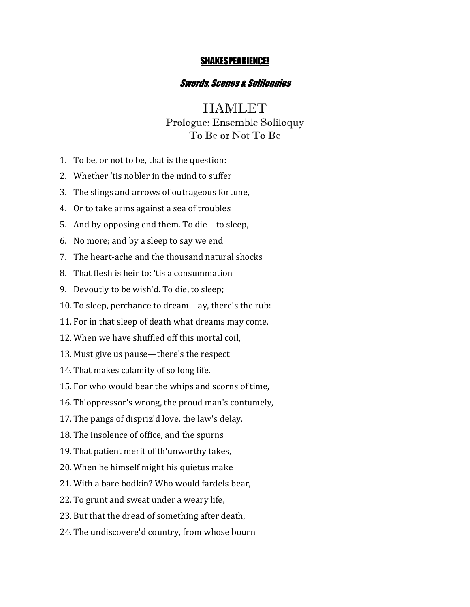#### SHAKESPEARIENCE!

### Swords, Scenes & Soliloquies

# **HAMLET**

## Prologue: Ensemble Soliloquy To Be or Not To Be

- 1. To be, or not to be, that is the question:
- 2. Whether 'tis nobler in the mind to suffer
- 3. The slings and arrows of outrageous fortune,
- 4. Or to take arms against a sea of troubles
- 5. And by opposing end them. To die—to sleep,
- 6. No more; and by a sleep to say we end
- 7. The heart-ache and the thousand natural shocks
- 8. That flesh is heir to: 'tis a consummation
- 9. Devoutly to be wish'd. To die, to sleep;
- 10. To sleep, perchance to dream—ay, there's the rub:
- 11. For in that sleep of death what dreams may come,
- 12. When we have shuffled off this mortal coil.
- 13. Must give us pause—there's the respect
- 14. That makes calamity of so long life.
- 15. For who would bear the whips and scorns of time,
- 16. Th'oppressor's wrong, the proud man's contumely,
- 17. The pangs of dispriz'd love, the law's delay,
- 18. The insolence of office, and the spurns
- 19. That patient merit of th'unworthy takes,
- 20. When he himself might his quietus make
- 21. With a bare bodkin? Who would fardels bear,
- 22. To grunt and sweat under a weary life,
- 23. But that the dread of something after death,
- 24. The undiscovere'd country, from whose bourn